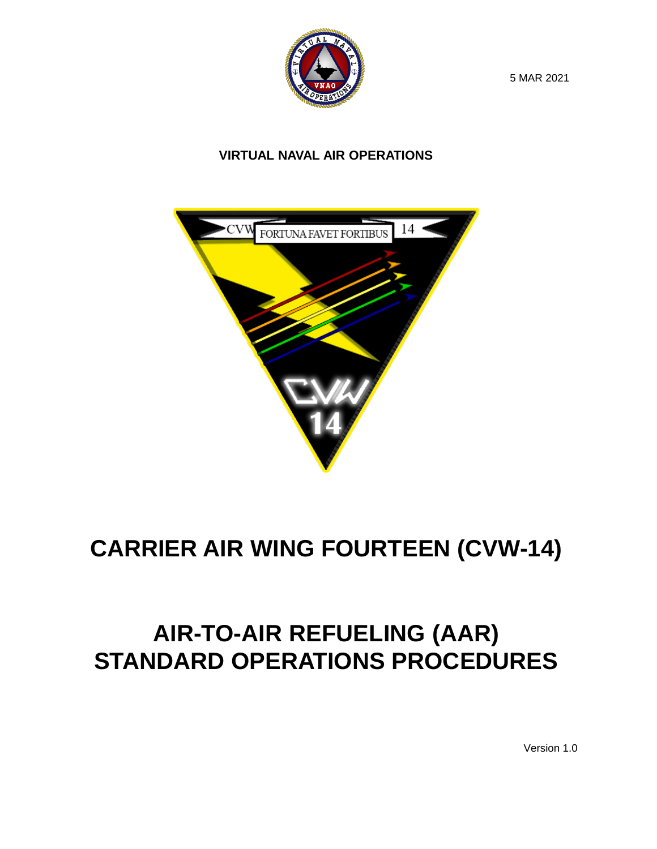

5 MAR 2021

### **VIRTUAL NAVAL AIR OPERATIONS**



### **CARRIER AIR WING FOURTEEN (CVW-14)**

### **AIR-TO-AIR REFUELING (AAR) STANDARD OPERATIONS PROCEDURES**

Version 1.0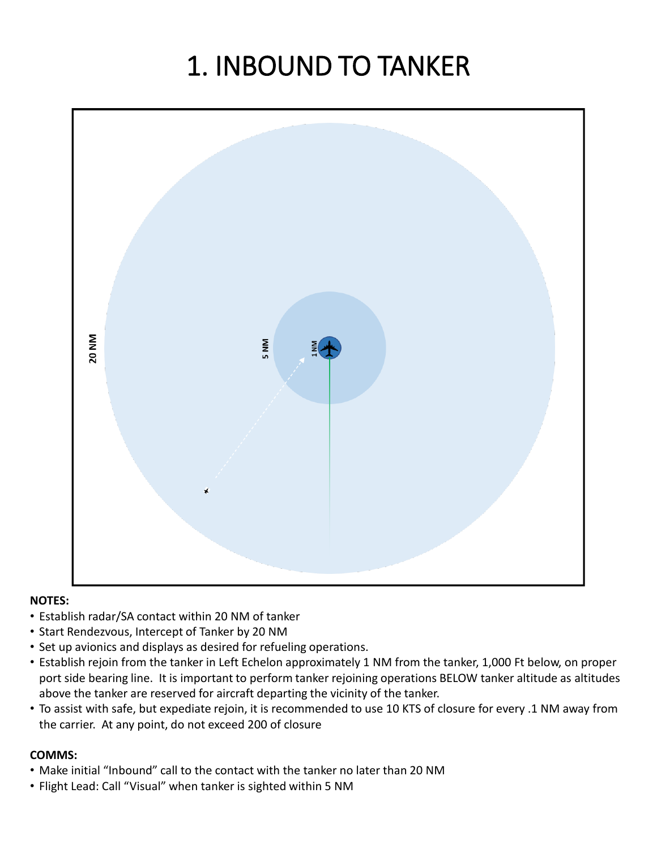## 1. INBOUND TO TANKER



#### **NOTES:**

- Establish radar/SA contact within 20 NM of tanker
- Start Rendezvous, Intercept of Tanker by 20 NM
- Set up avionics and displays as desired for refueling operations.
- Establish rejoin from the tanker in Left Echelon approximately 1 NM from the tanker, 1,000 Ft below, on proper port side bearing line. It is important to perform tanker rejoining operations BELOW tanker altitude as altitudes above the tanker are reserved for aircraft departing the vicinity of the tanker.
- To assist with safe, but expediate rejoin, it is recommended to use 10 KTS of closure for every .1 NM away from the carrier. At any point, do not exceed 200 of closure

- Make initial "Inbound" call to the contact with the tanker no later than 20 NM
- Flight Lead: Call "Visual" when tanker is sighted within 5 NM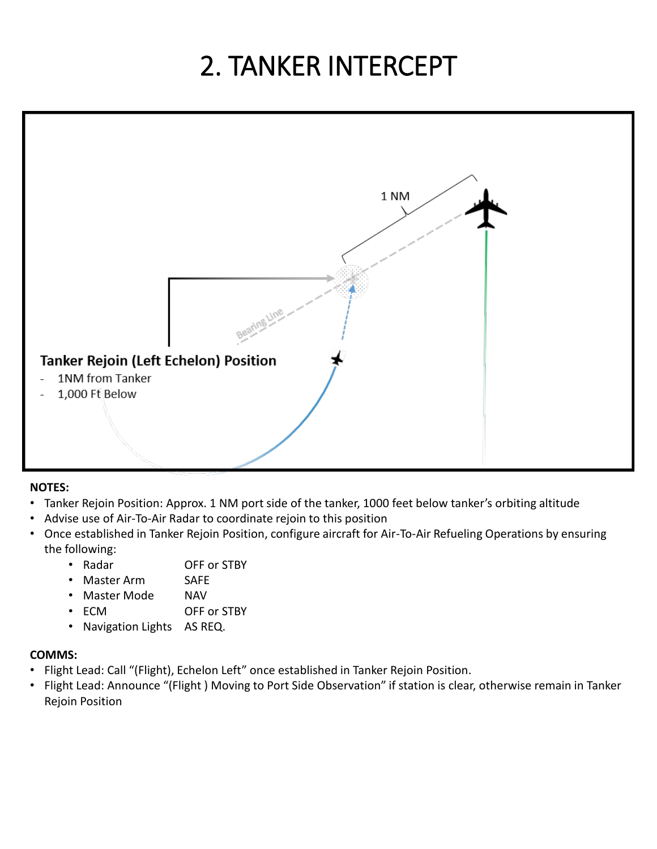# 2. TANKER INTERCEPT



#### **NOTES:**

- Tanker Rejoin Position: Approx. 1 NM port side of the tanker, 1000 feet below tanker's orbiting altitude
- Advise use of Air-To-Air Radar to coordinate rejoin to this position
- Once established in Tanker Rejoin Position, configure aircraft for Air-To-Air Refueling Operations by ensuring the following:
	- Radar OFF or STBY
	- Master Arm SAFE
	- Master Mode NAV
	- ECM OFF or STBY
	- Navigation Lights AS REQ.

- Flight Lead: Call "(Flight), Echelon Left" once established in Tanker Rejoin Position.
- Flight Lead: Announce "(Flight ) Moving to Port Side Observation" if station is clear, otherwise remain in Tanker Rejoin Position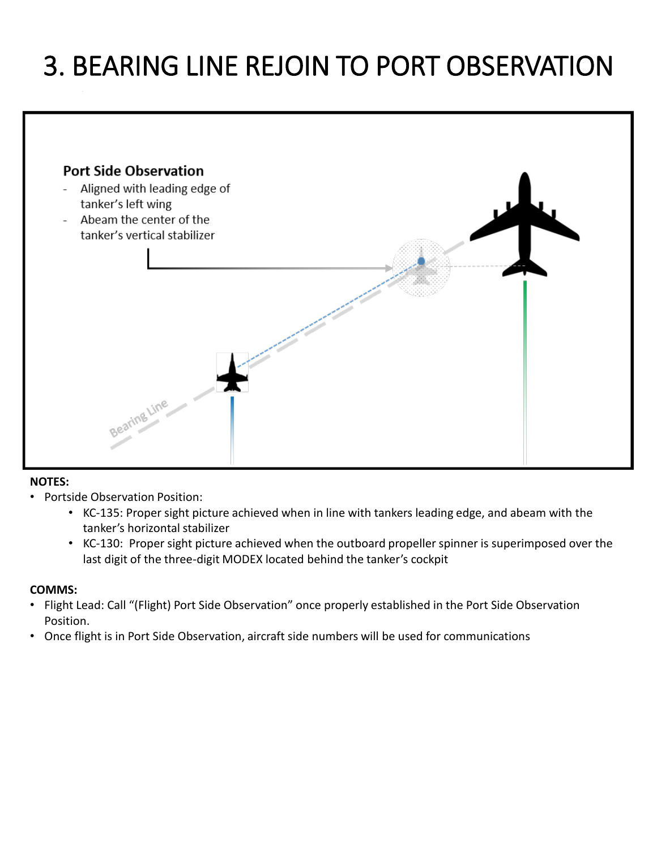### 3. BEARING LINE REJOIN TO PORT OBSERVATION



#### **NOTES:**

- Portside Observation Position:
	- KC-135: Proper sight picture achieved when in line with tankers leading edge, and abeam with the tanker's horizontal stabilizer
	- KC-130: Proper sight picture achieved when the outboard propeller spinner is superimposed over the last digit of the three-digit MODEX located behind the tanker's cockpit

- Flight Lead: Call "(Flight) Port Side Observation" once properly established in the Port Side Observation Position.
- Once flight is in Port Side Observation, aircraft side numbers will be used for communications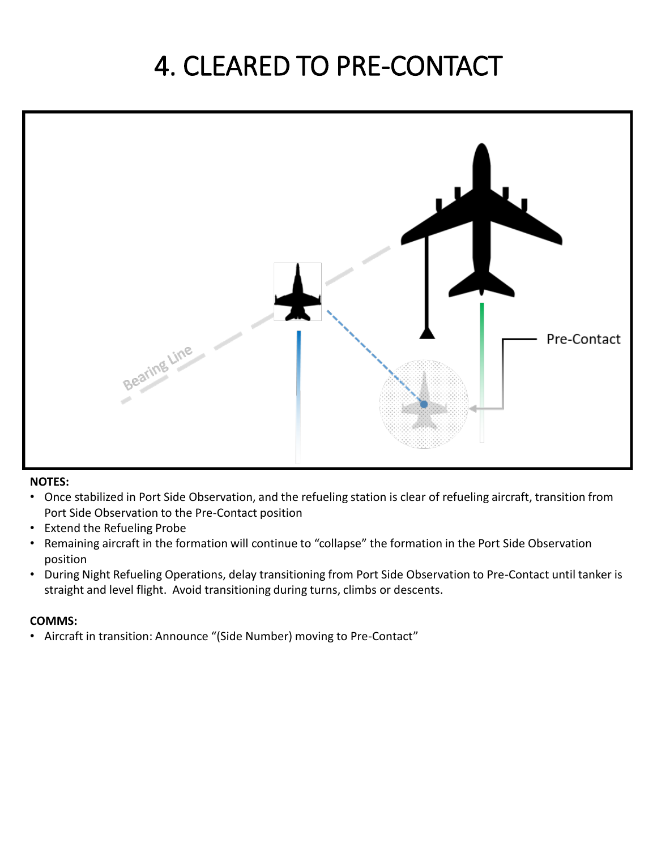### 4. CLEARED TO PRE-CONTACT



#### **NOTES:**

- Once stabilized in Port Side Observation, and the refueling station is clear of refueling aircraft, transition from Port Side Observation to the Pre-Contact position
- Extend the Refueling Probe
- Remaining aircraft in the formation will continue to "collapse" the formation in the Port Side Observation position
- During Night Refueling Operations, delay transitioning from Port Side Observation to Pre-Contact until tanker is straight and level flight. Avoid transitioning during turns, climbs or descents.

#### **COMMS:**

• Aircraft in transition: Announce "(Side Number) moving to Pre-Contact"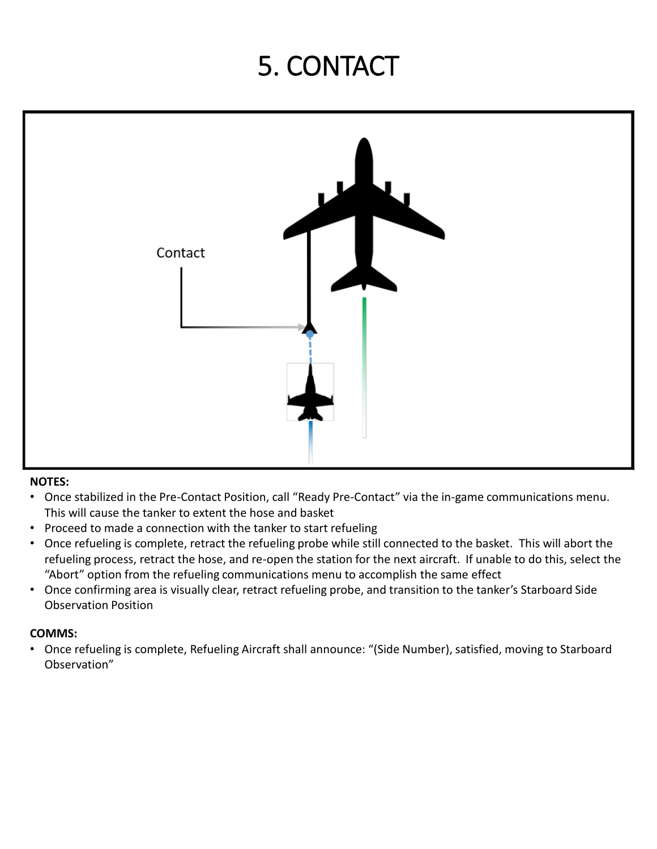## 5. CONTACT



#### **NOTES:**

- Once stabilized in the Pre-Contact Position, call "Ready Pre-Contact" via the in-game communications menu. This will cause the tanker to extent the hose and basket
- Proceed to made a connection with the tanker to start refueling
- Once refueling is complete, retract the refueling probe while still connected to the basket. This will abort the refueling process, retract the hose, and re-open the station for the next aircraft. If unable to do this, select the "Abort" option from the refueling communications menu to accomplish the same effect
- Once confirming area is visually clear, retract refueling probe, and transition to the tanker's Starboard Side Observation Position

#### **COMMS:**

• Once refueling is complete, Refueling Aircraft shall announce: "(Side Number), satisfied, moving to Starboard Observation"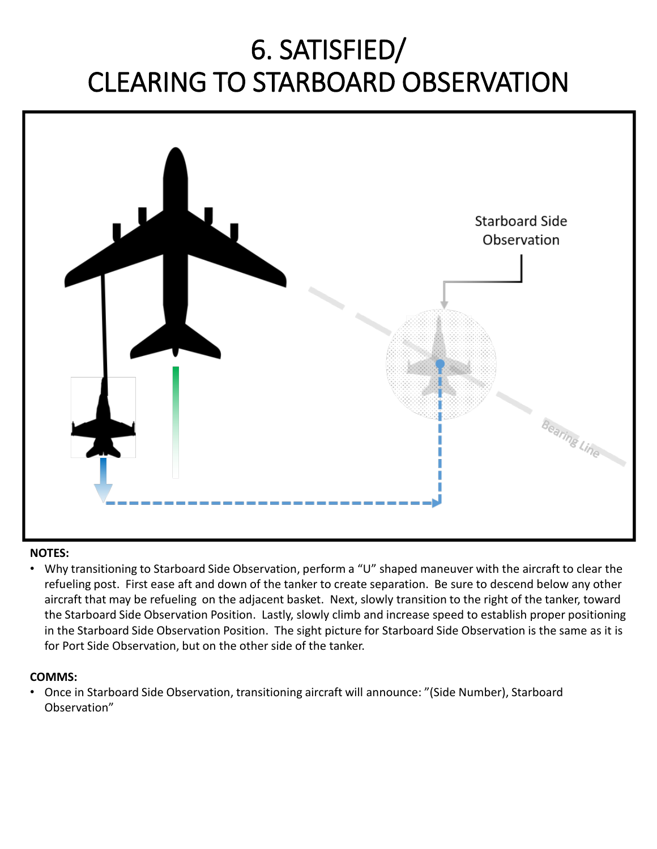### 6. SATISFIED/ CLEARING TO STARBOARD OBSERVATION



#### **NOTES:**

• Why transitioning to Starboard Side Observation, perform a "U" shaped maneuver with the aircraft to clear the refueling post. First ease aft and down of the tanker to create separation. Be sure to descend below any other aircraft that may be refueling on the adjacent basket. Next, slowly transition to the right of the tanker, toward the Starboard Side Observation Position. Lastly, slowly climb and increase speed to establish proper positioning in the Starboard Side Observation Position. The sight picture for Starboard Side Observation is the same as it is for Port Side Observation, but on the other side of the tanker.

#### **COMMS:**

• Once in Starboard Side Observation, transitioning aircraft will announce: "(Side Number), Starboard Observation"